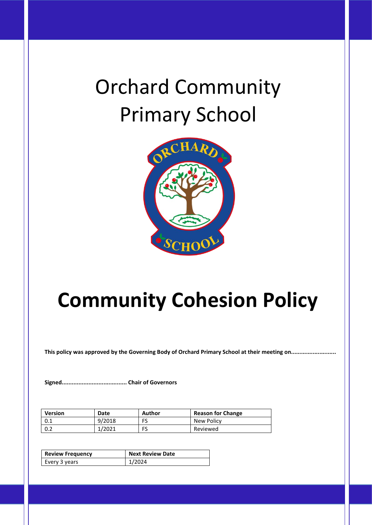# Orchard Community Primary School



# **Community Cohesion Policy**

**This policy was approved by the Governing Body of Orchard Primary School at their meeting on...........................**

**Signed....................................... Chair of Governors**

| <b>Version</b> | Date   | Author | <b>Reason for Change</b> |
|----------------|--------|--------|--------------------------|
| 0.1            | 9/2018 | FS     | New Policy               |
| 0.2            | 1/2021 | FS     | Reviewed                 |

| <b>Review Frequency</b> | Next Review Date |  |
|-------------------------|------------------|--|
| Every 3 years           | 1/2024           |  |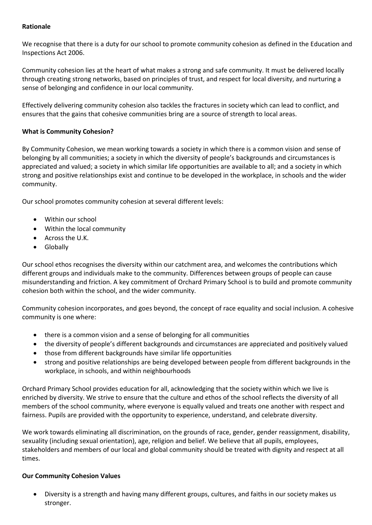#### **Rationale**

We recognise that there is a duty for our school to promote community cohesion as defined in the Education and Inspections Act 2006.

Community cohesion lies at the heart of what makes a strong and safe community. It must be delivered locally through creating strong networks, based on principles of trust, and respect for local diversity, and nurturing a sense of belonging and confidence in our local community.

Effectively delivering community cohesion also tackles the fractures in society which can lead to conflict, and ensures that the gains that cohesive communities bring are a source of strength to local areas.

### **What is Community Cohesion?**

By Community Cohesion, we mean working towards a society in which there is a common vision and sense of belonging by all communities; a society in which the diversity of people's backgrounds and circumstances is appreciated and valued; a society in which similar life opportunities are available to all; and a society in which strong and positive relationships exist and continue to be developed in the workplace, in schools and the wider community.

Our school promotes community cohesion at several different levels:

- Within our school
- Within the local community
- Across the U.K.
- Globally

Our school ethos recognises the diversity within our catchment area, and welcomes the contributions which different groups and individuals make to the community. Differences between groups of people can cause misunderstanding and friction. A key commitment of Orchard Primary School is to build and promote community cohesion both within the school, and the wider community.

Community cohesion incorporates, and goes beyond, the concept of race equality and social inclusion. A cohesive community is one where:

- there is a common vision and a sense of belonging for all communities
- the diversity of people's different backgrounds and circumstances are appreciated and positively valued
- those from different backgrounds have similar life opportunities
- strong and positive relationships are being developed between people from different backgrounds in the workplace, in schools, and within neighbourhoods

Orchard Primary School provides education for all, acknowledging that the society within which we live is enriched by diversity. We strive to ensure that the culture and ethos of the school reflects the diversity of all members of the school community, where everyone is equally valued and treats one another with respect and fairness. Pupils are provided with the opportunity to experience, understand, and celebrate diversity.

We work towards eliminating all discrimination, on the grounds of race, gender, gender reassignment, disability, sexuality (including sexual orientation), age, religion and belief. We believe that all pupils, employees, stakeholders and members of our local and global community should be treated with dignity and respect at all times.

#### **Our Community Cohesion Values**

• Diversity is a strength and having many different groups, cultures, and faiths in our society makes us stronger.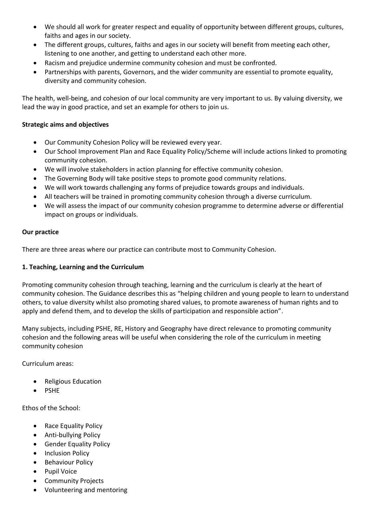- We should all work for greater respect and equality of opportunity between different groups, cultures, faiths and ages in our society.
- The different groups, cultures, faiths and ages in our society will benefit from meeting each other, listening to one another, and getting to understand each other more.
- Racism and prejudice undermine community cohesion and must be confronted.
- Partnerships with parents, Governors, and the wider community are essential to promote equality, diversity and community cohesion.

The health, well-being, and cohesion of our local community are very important to us. By valuing diversity, we lead the way in good practice, and set an example for others to join us.

#### **Strategic aims and objectives**

- Our Community Cohesion Policy will be reviewed every year.
- Our School Improvement Plan and Race Equality Policy/Scheme will include actions linked to promoting community cohesion.
- We will involve stakeholders in action planning for effective community cohesion.
- The Governing Body will take positive steps to promote good community relations.
- We will work towards challenging any forms of prejudice towards groups and individuals.
- All teachers will be trained in promoting community cohesion through a diverse curriculum.
- We will assess the impact of our community cohesion programme to determine adverse or differential impact on groups or individuals.

#### **Our practice**

There are three areas where our practice can contribute most to Community Cohesion.

#### **1. Teaching, Learning and the Curriculum**

Promoting community cohesion through teaching, learning and the curriculum is clearly at the heart of community cohesion. The Guidance describes this as "helping children and young people to learn to understand others, to value diversity whilst also promoting shared values, to promote awareness of human rights and to apply and defend them, and to develop the skills of participation and responsible action".

Many subjects, including PSHE, RE, History and Geography have direct relevance to promoting community cohesion and the following areas will be useful when considering the role of the curriculum in meeting community cohesion

Curriculum areas:

- Religious Education
- PSHE

Ethos of the School:

- Race Equality Policy
- Anti-bullying Policy
- Gender Equality Policy
- Inclusion Policy
- Behaviour Policy
- Pupil Voice
- Community Projects
- Volunteering and mentoring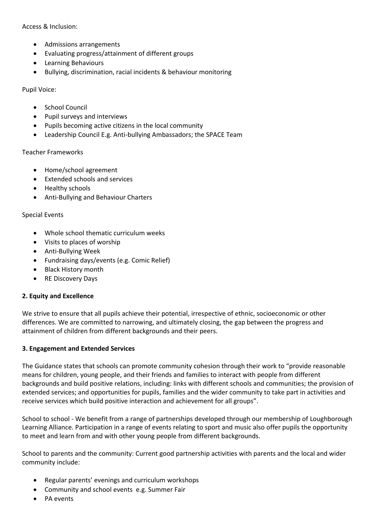Access & Inclusion:

- Admissions arrangements
- Evaluating progress/attainment of different groups
- Learning Behaviours
- Bullying, discrimination, racial incidents & behaviour monitoring

Pupil Voice:

- School Council
- Pupil surveys and interviews
- Pupils becoming active citizens in the local community
- Leadership Council E.g. Anti-bullying Ambassadors; the SPACE Team

#### Teacher Frameworks

- Home/school agreement
- Extended schools and services
- Healthy schools
- Anti-Bullying and Behaviour Charters

#### Special Events

- Whole school thematic curriculum weeks
- Visits to places of worship
- Anti-Bullying Week
- Fundraising days/events (e.g. Comic Relief)
- Black History month
- RE Discovery Days

#### **2. Equity and Excellence**

We strive to ensure that all pupils achieve their potential, irrespective of ethnic, socioeconomic or other differences. We are committed to narrowing, and ultimately closing, the gap between the progress and attainment of children from different backgrounds and their peers.

#### **3. Engagement and Extended Services**

The Guidance states that schools can promote community cohesion through their work to "provide reasonable means for children, young people, and their friends and families to interact with people from different backgrounds and build positive relations, including: links with different schools and communities; the provision of extended services; and opportunities for pupils, families and the wider community to take part in activities and receive services which build positive interaction and achievement for all groups".

School to school - We benefit from a range of partnerships developed through our membership of Loughborough Learning Alliance. Participation in a range of events relating to sport and music also offer pupils the opportunity to meet and learn from and with other young people from different backgrounds.

School to parents and the community: Current good partnership activities with parents and the local and wider community include:

- Regular parents' evenings and curriculum workshops
- Community and school events e.g. Summer Fair
- PA events